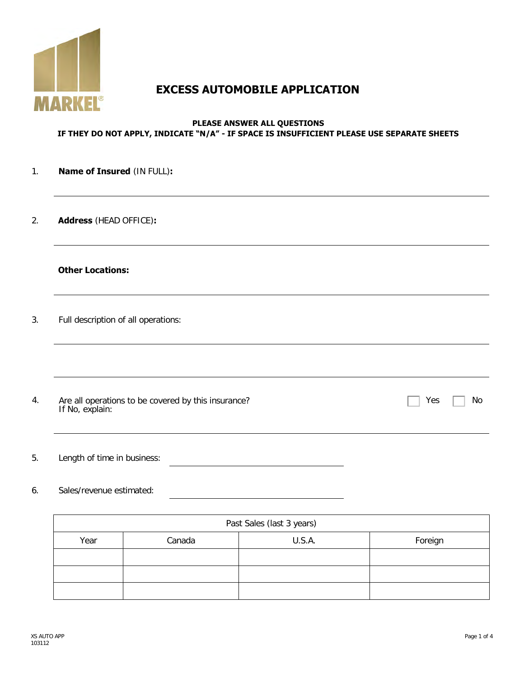

# **EXCESS AUTOMOBILE APPLICATION**

#### **PLEASE ANSWER ALL QUESTIONS IF THEY DO NOT APPLY, INDICATE "N/A" - IF SPACE IS INSUFFICIENT PLEASE USE SEPARATE SHEETS**

#### 1. **Name of Insured** (IN FULL)**:**

2. **Address** (HEAD OFFICE)**:**

### **Other Locations:**

3. Full description of all operations:

4. Are all operations to be covered by this insurance? If No, explain:

5. Length of time in business:

#### 6. Sales/revenue estimated:

| Past Sales (last 3 years) |        |        |         |  |
|---------------------------|--------|--------|---------|--|
| Year                      | Canada | U.S.A. | Foreign |  |
|                           |        |        |         |  |
|                           |        |        |         |  |
|                           |        |        |         |  |

 $Yes \Box No$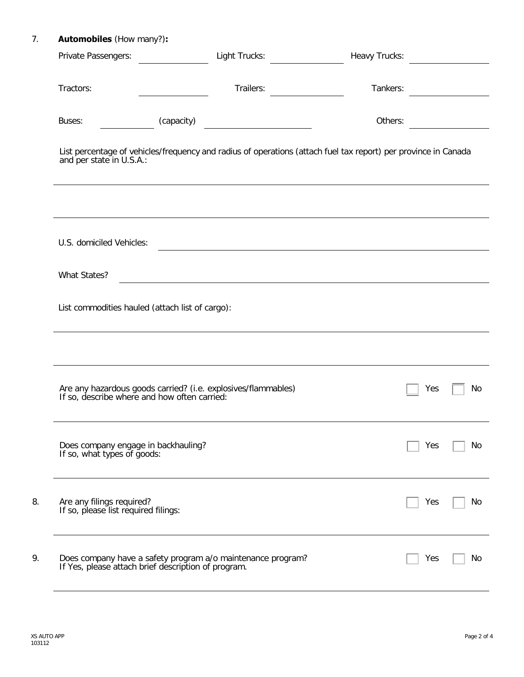# 7. **Automobiles** (How many?)**:**

| Private Passengers:                                                | Light Trucks:                                                                                                      | Heavy Trucks: |     |    |
|--------------------------------------------------------------------|--------------------------------------------------------------------------------------------------------------------|---------------|-----|----|
| Tractors:                                                          | Trailers:                                                                                                          | Tankers:      |     |    |
| Buses:                                                             | (capacity)<br><u> 1990 - Johann Barbara, martin a</u>                                                              | Others:       |     |    |
| and per state in U.S.A.:                                           | List percentage of vehicles/frequency and radius of operations (attach fuel tax report) per province in Canada     |               |     |    |
|                                                                    |                                                                                                                    |               |     |    |
| U.S. domiciled Vehicles:                                           |                                                                                                                    |               |     |    |
| What States?                                                       |                                                                                                                    |               |     |    |
|                                                                    | List commodities hauled (attach list of cargo):                                                                    |               |     |    |
|                                                                    |                                                                                                                    |               |     |    |
|                                                                    | Are any hazardous goods carried? (i.e. explosives/flammables) If so, describe where and how often carried:         |               | Yes | No |
| Does company engage in backhauling?<br>If so, what types of goods: |                                                                                                                    |               | Yes | No |
| Are any filings required?<br>If so, please list required filings:  |                                                                                                                    |               | Yes | No |
|                                                                    | Does company have a safety program a/o maintenance program?<br>If Yes, please attach brief description of program. |               | Yes | No |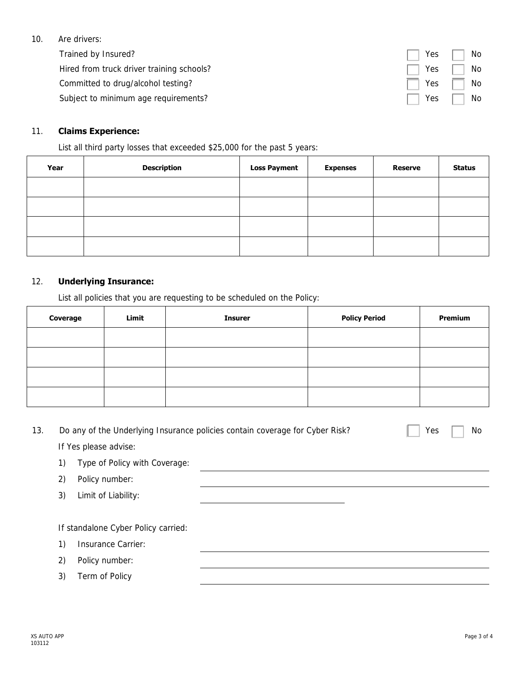#### 10. Are drivers:

Trained by Insured? Hired from truck driver training schools? Committed to drug/alcohol testing?

Subject to minimum age requirements?

## 11. **Claims Experience:**

List all third party losses that exceeded \$25,000 for the past 5 years:

| Year | <b>Description</b> | <b>Loss Payment</b> | <b>Expenses</b> | <b>Reserve</b> | <b>Status</b> |
|------|--------------------|---------------------|-----------------|----------------|---------------|
|      |                    |                     |                 |                |               |
|      |                    |                     |                 |                |               |
|      |                    |                     |                 |                |               |
|      |                    |                     |                 |                |               |

### 12. **Underlying Insurance:**

List all policies that you are requesting to be scheduled on the Policy:

| Coverage | Limit | <b>Insurer</b> | <b>Policy Period</b> | <b>Premium</b> |
|----------|-------|----------------|----------------------|----------------|
|          |       |                |                      |                |
|          |       |                |                      |                |
|          |       |                |                      |                |
|          |       |                |                      |                |

| 13. |    | Do any of the Underlying Insurance policies contain coverage for Cyber Risk? | No<br>Yes |
|-----|----|------------------------------------------------------------------------------|-----------|
|     |    | If Yes please advise:                                                        |           |
|     | 1) | Type of Policy with Coverage:                                                |           |
|     | 2) | Policy number:                                                               |           |
|     | 3) | Limit of Liability:                                                          |           |
|     |    |                                                                              |           |
|     |    | If standalone Cyber Policy carried:                                          |           |
|     | 1) | Insurance Carrier:                                                           |           |
|     | 2) | Policy number:                                                               |           |
|     | 3) | Term of Policy                                                               |           |
|     |    |                                                                              |           |

| Yes | No |
|-----|----|
| Yes | No |
| Yes | No |
| Yes | No |